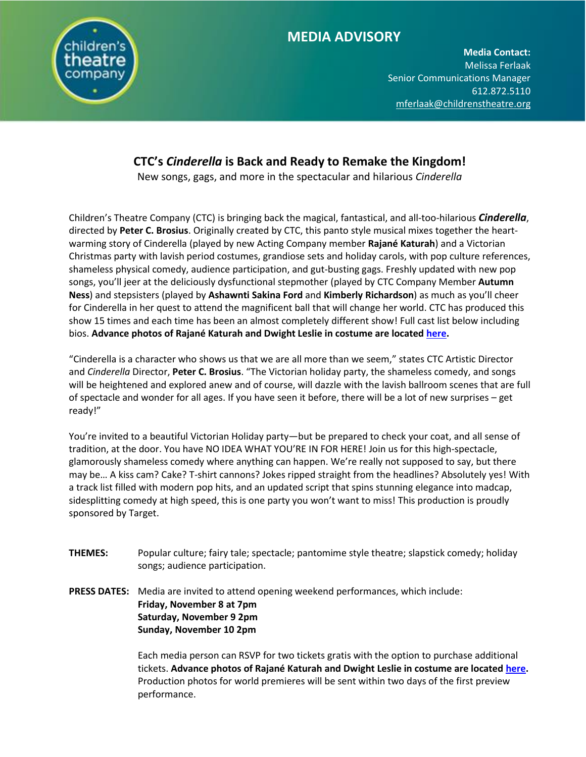

# **MEDIA ADVISORY**

**Media Contact:**  Melissa Ferlaak Senior Communications Manager 612.872.5110 [mferlaak@childrenstheatre.org](mailto:mferlaak@childrenstheatre.org)

# **CTC's** *Cinderella* **is Back and Ready to Remake the Kingdom!**

New songs, gags, and more in the spectacular and hilarious *Cinderella*

Children's Theatre Company (CTC) is bringing back the magical, fantastical, and all-too-hilarious *Cinderella*, directed by **Peter C. Brosius**. Originally created by CTC, this panto style musical mixes together the heartwarming story of Cinderella (played by new Acting Company member **Rajané Katurah**) and a Victorian Christmas party with lavish period costumes, grandiose sets and holiday carols, with pop culture references, shameless physical comedy, audience participation, and gut-busting gags. Freshly updated with new pop songs, you'll jeer at the deliciously dysfunctional stepmother (played by CTC Company Member **Autumn Ness**) and stepsisters (played by **Ashawnti Sakina Ford** and **Kimberly Richardson**) as much as you'll cheer for Cinderella in her quest to attend the magnificent ball that will change her world. CTC has produced this show 15 times and each time has been an almost completely different show! Full cast list below including bios. **Advance photos of Rajané Katurah and Dwight Leslie in costume are locate[d here.](https://www.dropbox.com/sh/zwgpcpzbq7pcqu7/AACyUyEmuB4_x8BGfNd5EVQ7a?dl=0)**

"Cinderella is a character who shows us that we are all more than we seem," states CTC Artistic Director and *Cinderella* Director, **Peter C. Brosius**. "The Victorian holiday party, the shameless comedy, and songs will be heightened and explored anew and of course, will dazzle with the lavish ballroom scenes that are full of spectacle and wonder for all ages. If you have seen it before, there will be a lot of new surprises – get ready!"

You're invited to a beautiful Victorian Holiday party—but be prepared to check your coat, and all sense of tradition, at the door. You have NO IDEA WHAT YOU'RE IN FOR HERE! Join us for this high-spectacle, glamorously shameless comedy where anything can happen. We're really not supposed to say, but there may be… A kiss cam? Cake? T-shirt cannons? Jokes ripped straight from the headlines? Absolutely yes! With a track list filled with modern pop hits, and an updated script that spins stunning elegance into madcap, sidesplitting comedy at high speed, this is one party you won't want to miss! This production is proudly sponsored by Target.

- **THEMES:** Popular culture; fairy tale; spectacle; pantomime style theatre; slapstick comedy; holiday songs; audience participation.
- **PRESS DATES:** Media are invited to attend opening weekend performances, which include: **Friday, November 8 at 7pm Saturday, November 9 2pm Sunday, November 10 2pm**

Each media person can RSVP for two tickets gratis with the option to purchase additional tickets. **Advance photos of Rajané Katurah and Dwight Leslie in costume are locate[d here.](https://www.dropbox.com/sh/zwgpcpzbq7pcqu7/AACyUyEmuB4_x8BGfNd5EVQ7a?dl=0)** Production photos for world premieres will be sent within two days of the first preview performance.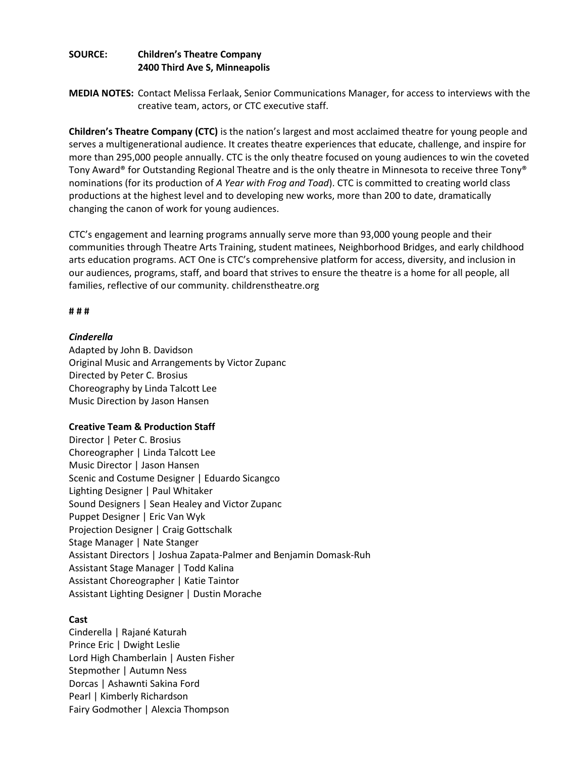# **SOURCE: Children's Theatre Company 2400 Third Ave S, Minneapolis**

MEDIA NOTES: Contact Melissa Ferlaak, Senior Communications Manager, for access to interviews with the creative team, actors, or CTC executive staff.

**Children's Theatre Company (CTC)** is the nation's largest and most acclaimed theatre for young people and serves a multigenerational audience. It creates theatre experiences that educate, challenge, and inspire for more than 295,000 people annually. CTC is the only theatre focused on young audiences to win the coveted Tony Award® for Outstanding Regional Theatre and is the only theatre in Minnesota to receive three Tony® nominations (for its production of *A Year with Frog and Toad*). CTC is committed to creating world class productions at the highest level and to developing new works, more than 200 to date, dramatically changing the canon of work for young audiences.

CTC's engagement and learning programs annually serve more than 93,000 young people and their communities through Theatre Arts Training, student matinees, Neighborhood Bridges, and early childhood arts education programs. ACT One is CTC's comprehensive platform for access, diversity, and inclusion in our audiences, programs, staff, and board that strives to ensure the theatre is a home for all people, all families, reflective of our community. childrenstheatre.org

## **# # #**

# *Cinderella*

Adapted by John B. Davidson Original Music and Arrangements by Victor Zupanc Directed by Peter C. Brosius Choreography by Linda Talcott Lee Music Direction by Jason Hansen

# **Creative Team & Production Staff**

Director | Peter C. Brosius Choreographer | Linda Talcott Lee Music Director | Jason Hansen Scenic and Costume Designer | Eduardo Sicangco Lighting Designer | Paul Whitaker Sound Designers | Sean Healey and Victor Zupanc Puppet Designer | Eric Van Wyk Projection Designer | Craig Gottschalk Stage Manager | Nate Stanger Assistant Directors | Joshua Zapata-Palmer and Benjamin Domask-Ruh Assistant Stage Manager | Todd Kalina Assistant Choreographer | Katie Taintor Assistant Lighting Designer | Dustin Morache

# **Cast**

Cinderella | Rajané Katurah Prince Eric | Dwight Leslie Lord High Chamberlain | Austen Fisher Stepmother | Autumn Ness Dorcas | Ashawnti Sakina Ford Pearl | Kimberly Richardson Fairy Godmother | Alexcia Thompson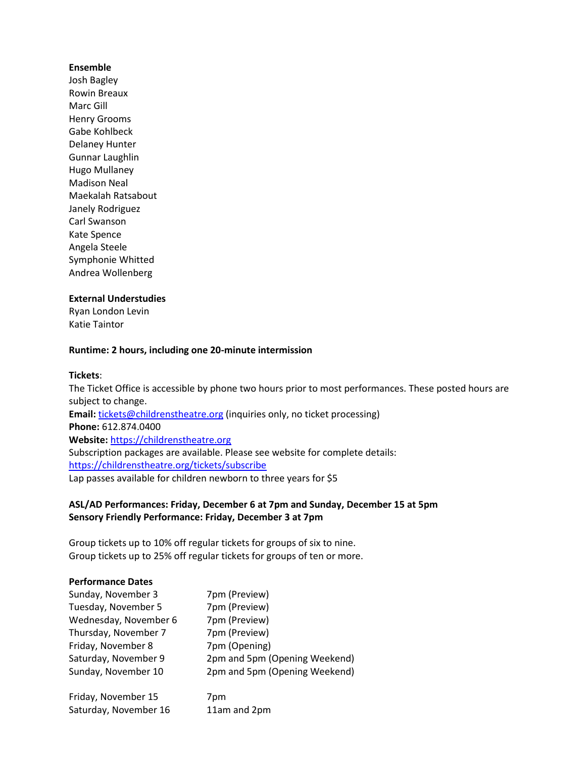## **Ensemble**

Josh Bagley Rowin Breaux Marc Gill Henry Grooms Gabe Kohlbeck Delaney Hunter Gunnar Laughlin Hugo Mullaney Madison Neal Maekalah Ratsabout Janely Rodriguez Carl Swanson Kate Spence Angela Steele Symphonie Whitted Andrea Wollenberg

## **External Understudies**

Ryan London Levin Katie Taintor

# **Runtime: 2 hours, including one 20-minute intermission**

#### **Tickets**:

The Ticket Office is accessible by phone two hours prior to most performances. These posted hours are subject to change. **Email:** [tickets@childrenstheatre.org](mailto:tickets@childrenstheatre.org) (inquiries only, no ticket processing) **Phone:** 612.874.0400 **Website:** [https://childrenstheatre.org](https://childrenstheatre.org/) Subscription packages are available. Please see website for complete details: <https://childrenstheatre.org/tickets/subscribe> Lap passes available for children newborn to three years for \$5

# **ASL/AD Performances: Friday, December 6 at 7pm and Sunday, December 15 at 5pm Sensory Friendly Performance: Friday, December 3 at 7pm**

Group tickets up to 10% off regular tickets for groups of six to nine. Group tickets up to 25% off regular tickets for groups of ten or more.

#### **Performance Dates**

| Sunday, November 3    | 7pm (Preview)                 |
|-----------------------|-------------------------------|
| Tuesday, November 5   | 7pm (Preview)                 |
| Wednesday, November 6 | 7pm (Preview)                 |
| Thursday, November 7  | 7pm (Preview)                 |
| Friday, November 8    | 7pm (Opening)                 |
| Saturday, November 9  | 2pm and 5pm (Opening Weekend) |
| Sunday, November 10   | 2pm and 5pm (Opening Weekend) |
| Friday, November 15   | 7pm                           |
| Saturday, November 16 | 11am and 2pm                  |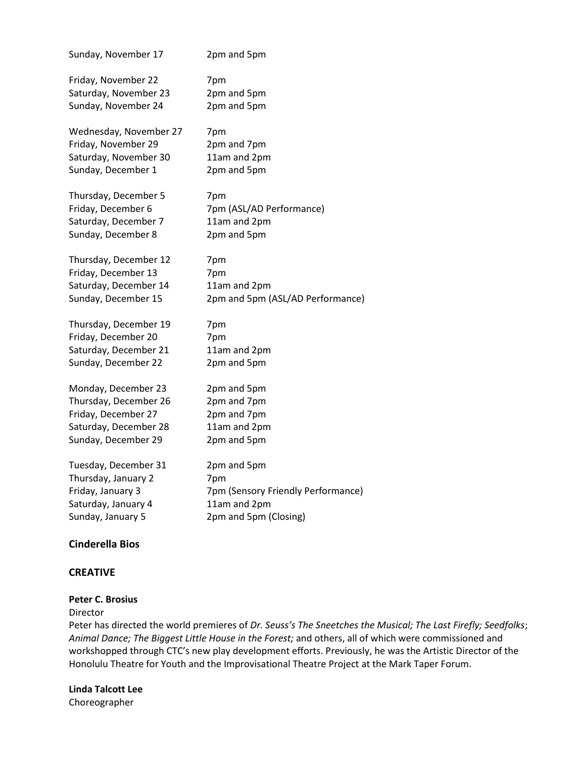| Sunday, November 17    | 2pm and 5pm                        |
|------------------------|------------------------------------|
| Friday, November 22    | 7pm                                |
| Saturday, November 23  | 2pm and 5pm                        |
| Sunday, November 24    | 2pm and 5pm                        |
| Wednesday, November 27 | 7pm                                |
| Friday, November 29    | 2pm and 7pm                        |
| Saturday, November 30  | 11am and 2pm                       |
| Sunday, December 1     | 2pm and 5pm                        |
| Thursday, December 5   | 7pm                                |
| Friday, December 6     | 7pm (ASL/AD Performance)           |
| Saturday, December 7   | 11am and 2pm                       |
| Sunday, December 8     | 2pm and 5pm                        |
| Thursday, December 12  | 7pm                                |
| Friday, December 13    | 7pm                                |
| Saturday, December 14  | 11am and 2pm                       |
| Sunday, December 15    | 2pm and 5pm (ASL/AD Performance)   |
| Thursday, December 19  | 7pm                                |
| Friday, December 20    | 7pm                                |
| Saturday, December 21  | 11am and 2pm                       |
| Sunday, December 22    | 2pm and 5pm                        |
| Monday, December 23    | 2pm and 5pm                        |
| Thursday, December 26  | 2pm and 7pm                        |
| Friday, December 27    | 2pm and 7pm                        |
| Saturday, December 28  | 11am and 2pm                       |
| Sunday, December 29    | 2pm and 5pm                        |
| Tuesday, December 31   | 2pm and 5pm                        |
| Thursday, January 2    | 7pm                                |
| Friday, January 3      | 7pm (Sensory Friendly Performance) |
| Saturday, January 4    | 11am and 2pm                       |
| Sunday, January 5      | 2pm and 5pm (Closing)              |

# **Cinderella Bios**

# **CREATIVE**

# **Peter C. Brosius**

## Director

Peter has directed the world premieres of *Dr. Seuss's The Sneetches the Musical; The Last Firefly; Seedfolks*; *Animal Dance; The Biggest Little House in the Forest;* and others, all of which were commissioned and workshopped through CTC's new play development efforts. Previously, he was the Artistic Director of the Honolulu Theatre for Youth and the Improvisational Theatre Project at the Mark Taper Forum.

**Linda Talcott Lee** Choreographer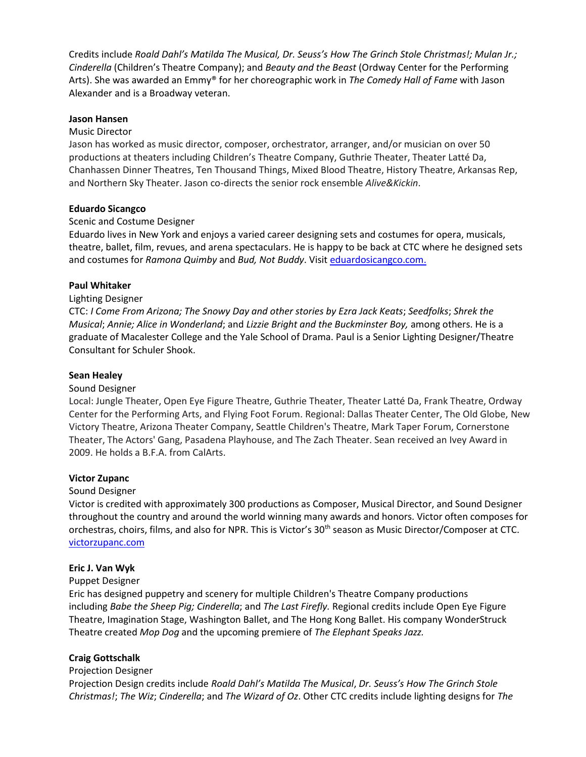**Media Contact:**  Credits include *Roald Dahl's Matilda The Musical, Dr. Seuss's How The Grinch Stole Christmas!; Mulan Jr.; Cinderella* (Children's Theatre Company); and *Beauty and the Beast* (Ordway Center for the Performing Arts). She was awarded an Emmy® for her choreographic work in *The Comedy Hall of Fame* with Jason Alexander and is a Broadway veteran.

## **Jason Hansen**

## Music Director

Jason has worked as music director, composer, orchestrator, arranger, and/or musician on over 50 productions at theaters including Children's Theatre Company, Guthrie Theater, Theater Latté Da, Chanhassen Dinner Theatres, Ten Thousand Things, Mixed Blood Theatre, History Theatre, Arkansas Rep, and Northern Sky Theater. Jason co-directs the senior rock ensemble *Alive&Kickin*.

## **Eduardo Sicangco**

## Scenic and Costume Designer

Eduardo lives in New York and enjoys a varied career designing sets and costumes for opera, musicals, theatre, ballet, film, revues, and arena spectaculars. He is happy to be back at CTC where he designed sets and costumes for *Ramona Quimby* and *Bud, Not Buddy*. Visi[t eduardosicangco.com.](http://eduardosicangco.com/)

## **Paul Whitaker**

## Lighting Designer

CTC: *I Come From Arizona; The Snowy Day and other stories by Ezra Jack Keats*; *Seedfolks*; *Shrek the Musical*; *Annie; Alice in Wonderland*; and *Lizzie Bright and the Buckminster Boy,* among others. He is a graduate of Macalester College and the Yale School of Drama. Paul is a Senior Lighting Designer/Theatre Consultant for Schuler Shook.

## **Sean Healey**

#### Sound Designer

Local: Jungle Theater, Open Eye Figure Theatre, Guthrie Theater, Theater Latté Da, Frank Theatre, Ordway Center for the Performing Arts, and Flying Foot Forum. Regional: Dallas Theater Center, The Old Globe, New Victory Theatre, Arizona Theater Company, Seattle Children's Theatre, Mark Taper Forum, Cornerstone Theater, The Actors' Gang, Pasadena Playhouse, and The Zach Theater. Sean received an Ivey Award in 2009. He holds a B.F.A. from CalArts.

#### **Victor Zupanc**

#### Sound Designer

Victor is credited with approximately 300 productions as Composer, Musical Director, and Sound Designer throughout the country and around the world winning many awards and honors. Victor often composes for orchestras, choirs, films, and also for NPR. This is Victor's 30<sup>th</sup> season as Music Director/Composer at CTC. [victorzupanc.com](http://victorzupanc.com/)

# **Eric J. Van Wyk**

# Puppet Designer

Eric has designed puppetry and scenery for multiple Children's Theatre Company productions including *Babe the Sheep Pig; Cinderella*; and *The Last Firefly.* Regional credits include Open Eye Figure Theatre, Imagination Stage, Washington Ballet, and The Hong Kong Ballet. His company WonderStruck Theatre created *Mop Dog* and the upcoming premiere of *The Elephant Speaks Jazz.*

# **Craig Gottschalk**

#### Projection Designer

Projection Design credits include *Roald Dahl's Matilda The Musical*, *Dr. Seuss's How The Grinch Stole Christmas!*; *The Wiz*; *Cinderella*; and *The Wizard of Oz*. Other CTC credits include lighting designs for *The*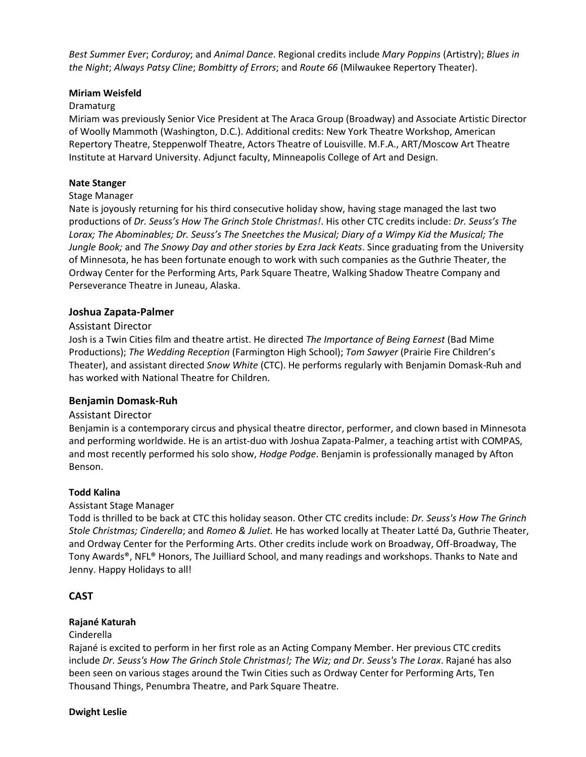**Media Contact:**  *Best Summer Ever*; *Corduroy*; and *Animal Dance*. Regional credits include *Mary Poppins* (Artistry); *Blues in*  the Night; Always Patsy Cline; Bombitty of Errors; and Route 66 (Milwaukee Repertory Theater).

# **Miriam Weisfeld**

## Dramaturg

Miriam was previously Senior Vice President at The Araca Group (Broadway) and Associate Artistic Director of Woolly Mammoth (Washington, D.C.). Additional credits: New York Theatre Workshop, American Repertory Theatre, Steppenwolf Theatre, Actors Theatre of Louisville. M.F.A., ART/Moscow Art Theatre Institute at Harvard University. Adjunct faculty, Minneapolis College of Art and Design.

## **Nate Stanger**

## Stage Manager

Nate is joyously returning for his third consecutive holiday show, having stage managed the last two productions of *Dr. Seuss's How The Grinch Stole Christmas!*. His other CTC credits include: *Dr. Seuss's The Lorax; The Abominables; Dr. Seuss's The Sneetches the Musical; Diary of a Wimpy Kid the Musical; The Jungle Book;* and *The Snowy Day and other stories by Ezra Jack Keats*. Since graduating from the University of Minnesota, he has been fortunate enough to work with such companies as the Guthrie Theater, the Ordway Center for the Performing Arts, Park Square Theatre, Walking Shadow Theatre Company and Perseverance Theatre in Juneau, Alaska.

## **Joshua Zapata-Palmer**

## Assistant Director

Josh is a Twin Cities film and theatre artist. He directed *The Importance of Being Earnest* (Bad Mime Productions); *The Wedding Reception* (Farmington High School); *Tom Sawyer* (Prairie Fire Children's Theater), and assistant directed *Snow White* (CTC). He performs regularly with Benjamin Domask-Ruh and has worked with National Theatre for Children.

# **Benjamin Domask-Ruh**

#### Assistant Director

Benjamin is a contemporary circus and physical theatre director, performer, and clown based in Minnesota and performing worldwide. He is an artist-duo with Joshua Zapata-Palmer, a teaching artist with COMPAS, and most recently performed his solo show, *Hodge Podge*. Benjamin is professionally managed by Afton Benson.

#### **Todd Kalina**

# Assistant Stage Manager

Todd is thrilled to be back at CTC this holiday season. Other CTC credits include: *Dr. Seuss's How The Grinch Stole Christmas; Cinderella*; and *Romeo & Juliet.* He has worked locally at Theater Latté Da, Guthrie Theater, and Ordway Center for the Performing Arts. Other credits include work on Broadway, Off-Broadway, The Tony Awards®, NFL® Honors, The Juilliard School, and many readings and workshops. Thanks to Nate and Jenny. Happy Holidays to all!

# **CAST**

# **Rajané Katurah**

#### Cinderella

Rajané is excited to perform in her first role as an Acting Company Member. Her previous CTC credits include *Dr. Seuss's How The Grinch Stole Christmas!; The Wiz; and Dr. Seuss's The Lorax*. Rajané has also been seen on various stages around the Twin Cities such as Ordway Center for Performing Arts, Ten Thousand Things, Penumbra Theatre, and Park Square Theatre.

#### **Dwight Leslie**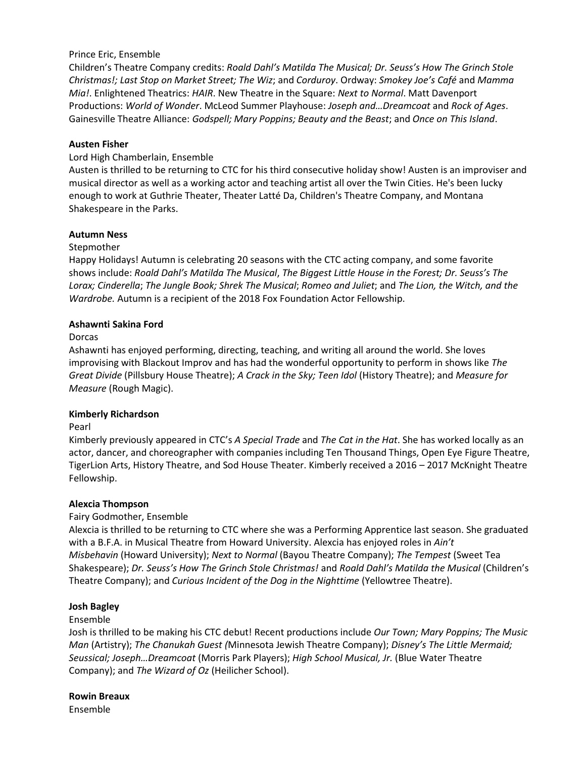# Prince Eric, Ensemble

Children's Theatre Company credits: *Roald Dahl's Matilda The Musical; Dr. Seuss's How The Grinch Stole Christmas!; Last Stop on Market Street; The Wiz; and Corduroy. Ordway: Smokey Joe's Café and Mamma*  $\mathbf{t}$ Productions: *World of Wonder*. McLeod Summer Playhouse: *Joseph and...Dreamcoat* and *Rock of Ages*. *Mia!*. Enlightened Theatrics: *HAIR*. New Theatre in the Square: *Next to Normal*. Matt Davenport Gainesville Theatre Alliance: *Godspell; Mary Poppins; Beauty and the Beast*; and *Once on This Island*.

#### **Austen Fisher**

## Lord High Chamberlain, Ensemble

Austen is thrilled to be returning to CTC for his third consecutive holiday show! Austen is an improviser and musical director as well as a working actor and teaching artist all over the Twin Cities. He's been lucky enough to work at Guthrie Theater, Theater Latté Da, Children's Theatre Company, and Montana Shakespeare in the Parks.

## **Autumn Ness**

## Stepmother

Happy Holidays! Autumn is celebrating 20 seasons with the CTC acting company, and some favorite shows include: *Roald Dahl's Matilda The Musical*, *The Biggest Little House in the Forest; Dr. Seuss's The Lorax; Cinderella*; *The Jungle Book; Shrek The Musical*; *Romeo and Juliet*; and *The Lion, the Witch, and the Wardrobe.* Autumn is a recipient of the 2018 Fox Foundation Actor Fellowship.

## **Ashawnti Sakina Ford**

Dorcas

Ashawnti has enjoyed performing, directing, teaching, and writing all around the world. She loves improvising with Blackout Improv and has had the wonderful opportunity to perform in shows like *The Great Divide* (Pillsbury House Theatre); *A Crack in the Sky; Teen Idol* (History Theatre); and *Measure for Measure* (Rough Magic).

#### **Kimberly Richardson**

Pearl

Kimberly previously appeared in CTC's *A Special Trade* and *The Cat in the Hat*. She has worked locally as an actor, dancer, and choreographer with companies including Ten Thousand Things, Open Eye Figure Theatre, TigerLion Arts, History Theatre, and Sod House Theater. Kimberly received a 2016 – 2017 McKnight Theatre Fellowship.

# **Alexcia Thompson**

# Fairy Godmother, Ensemble

Alexcia is thrilled to be returning to CTC where she was a Performing Apprentice last season. She graduated with a B.F.A. in Musical Theatre from Howard University. Alexcia has enjoyed roles in *Ain't Misbehavin* (Howard University); *Next to Normal* (Bayou Theatre Company); *The Tempest* (Sweet Tea Shakespeare); *Dr. Seuss's How The Grinch Stole Christmas!* and *Roald Dahl's Matilda the Musical* (Children's Theatre Company); and *Curious Incident of the Dog in the Nighttime* (Yellowtree Theatre).

#### **Josh Bagley**

#### Ensemble

Josh is thrilled to be making his CTC debut! Recent productions include *Our Town; Mary Poppins; The Music Man* (Artistry); *The Chanukah Guest (*Minnesota Jewish Theatre Company); *Disney's The Little Mermaid; Seussical; Joseph…Dreamcoat* (Morris Park Players); *High School Musical, Jr.* (Blue Water Theatre Company); and *The Wizard of Oz* (Heilicher School).

# **Rowin Breaux**

Ensemble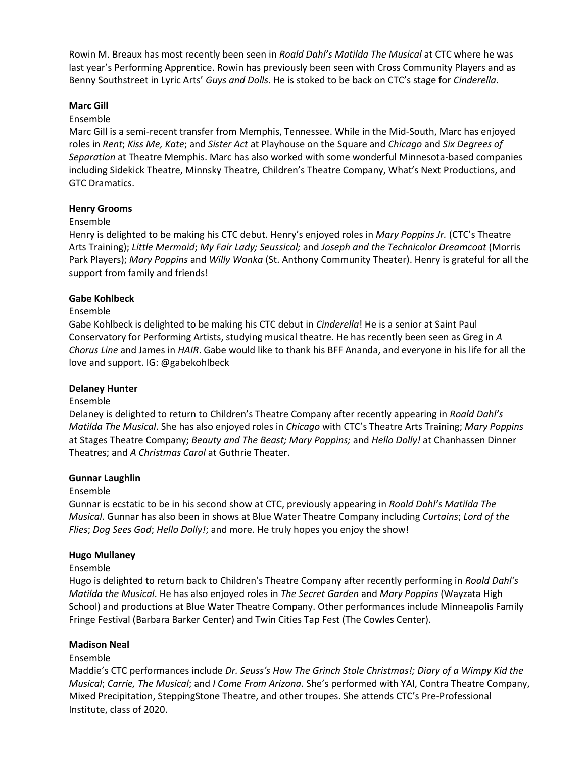Rowin M. Breaux has most recently been seen in *Roald Dahl's Matilda The Musical* at CTC where he was last year's Performing Apprentice. Rowin has previously been seen with Cross Community Players and as Benny Southstreet in Lyric Arts' *Guys and Dolls*. He is stoked to be back on CTC's stage for *Cinderella*.

## **Marc Gill**

## Ensemble

Marc Gill is a semi-recent transfer from Memphis, Tennessee. While in the Mid-South, Marc has enjoyed roles in *Rent*; *Kiss Me, Kate*; and *Sister Act* at Playhouse on the Square and *Chicago* and *Six Degrees of Separation* at Theatre Memphis. Marc has also worked with some wonderful Minnesota-based companies including Sidekick Theatre, Minnsky Theatre, Children's Theatre Company, What's Next Productions, and GTC Dramatics.

## **Henry Grooms**

#### Ensemble

Henry is delighted to be making his CTC debut. Henry's enjoyed roles in *Mary Poppins Jr.* (CTC's Theatre Arts Training); *Little Mermaid*; *My Fair Lady; Seussical;* and *Joseph and the Technicolor Dreamcoat* (Morris Park Players); *Mary Poppins* and *Willy Wonka* (St. Anthony Community Theater). Henry is grateful for all the support from family and friends!

## **Gabe Kohlbeck**

#### Ensemble

Gabe Kohlbeck is delighted to be making his CTC debut in *Cinderella*! He is a senior at Saint Paul Conservatory for Performing Artists, studying musical theatre. He has recently been seen as Greg in *A Chorus Line* and James in *HAIR*. Gabe would like to thank his BFF Ananda, and everyone in his life for all the love and support. IG: @gabekohlbeck

#### **Delaney Hunter**

#### Ensemble

Delaney is delighted to return to Children's Theatre Company after recently appearing in *Roald Dahl's Matilda The Musical*. She has also enjoyed roles in *Chicago* with CTC's Theatre Arts Training; *Mary Poppins*  at Stages Theatre Company; *Beauty and The Beast; Mary Poppins;* and *Hello Dolly!* at Chanhassen Dinner Theatres; and *A Christmas Carol* at Guthrie Theater.

#### **Gunnar Laughlin**

#### Ensemble

Gunnar is ecstatic to be in his second show at CTC, previously appearing in *Roald Dahl's Matilda The Musical*. Gunnar has also been in shows at Blue Water Theatre Company including *Curtains*; *Lord of the Flies*; *Dog Sees God*; *Hello Dolly!*; and more. He truly hopes you enjoy the show!

# **Hugo Mullaney**

#### Ensemble

Hugo is delighted to return back to Children's Theatre Company after recently performing in *Roald Dahl's Matilda the Musical*. He has also enjoyed roles in *The Secret Garden* and *Mary Poppins* (Wayzata High School) and productions at Blue Water Theatre Company. Other performances include Minneapolis Family Fringe Festival (Barbara Barker Center) and Twin Cities Tap Fest (The Cowles Center).

# **Madison Neal**

#### Ensemble

Maddie's CTC performances include *Dr. Seuss's How The Grinch Stole Christmas!; Diary of a Wimpy Kid the Musical*; *Carrie, The Musical*; and *I Come From Arizona*. She's performed with YAI, Contra Theatre Company, Mixed Precipitation, SteppingStone Theatre, and other troupes. She attends CTC's Pre-Professional Institute, class of 2020.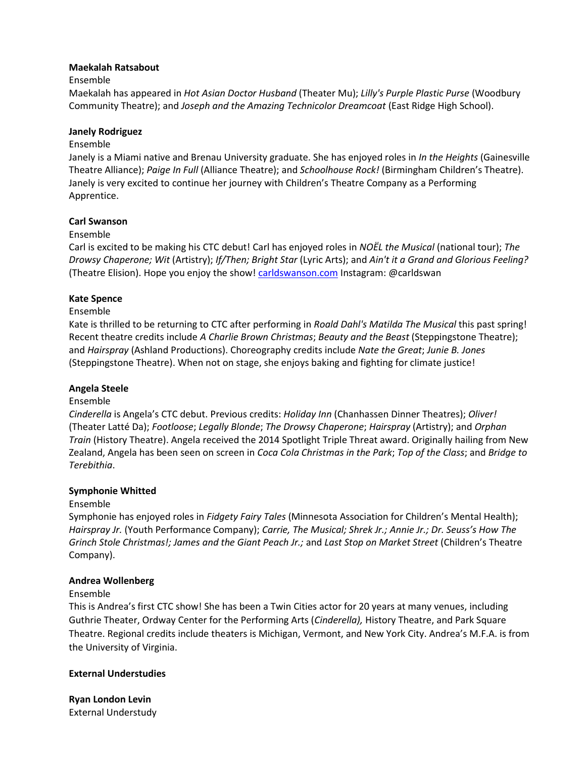# **Maekalah Ratsabout**

## Ensemble

Maekalah has appeared in *Hot Asian Doctor Husband* (Theater Mu); *Lilly's Purple Plastic Purse* (Woodbury Community Theatre); and *Joseph and the Amazing Technicolor Dreamcoat* (East Ridge High School).

## **Janely Rodriguez**

## Ensemble

Janely is a Miami native and Brenau University graduate. She has enjoyed roles in *In the Heights* (Gainesville Theatre Alliance); *Paige In Full* (Alliance Theatre); and *Schoolhouse Rock!* (Birmingham Children's Theatre). Janely is very excited to continue her journey with Children's Theatre Company as a Performing Apprentice.

## **Carl Swanson**

## Ensemble

Carl is excited to be making his CTC debut! Carl has enjoyed roles in *NOËL the Musical* (national tour); *The Drowsy Chaperone; Wit* (Artistry); *If/Then; Bright Star* (Lyric Arts); and *Ain't it a Grand and Glorious Feeling?* (Theatre Elision). Hope you enjoy the show! [carldswanson.com](http://www.carldswanson.com/) Instagram: @carldswan

## **Kate Spence**

#### Ensemble

Kate is thrilled to be returning to CTC after performing in *Roald Dahl's Matilda The Musical* this past spring! Recent theatre credits include *A Charlie Brown Christmas*; *Beauty and the Beast* (Steppingstone Theatre); and *Hairspray* (Ashland Productions). Choreography credits include *Nate the Great*; *Junie B. Jones* (Steppingstone Theatre). When not on stage, she enjoys baking and fighting for climate justice!

#### **Angela Steele**

#### Ensemble

*Cinderella* is Angela's CTC debut. Previous credits: *Holiday Inn* (Chanhassen Dinner Theatres); *Oliver!* (Theater Latté Da); *Footloose*; *Legally Blonde*; *The Drowsy Chaperone*; *Hairspray* (Artistry); and *Orphan Train* (History Theatre). Angela received the 2014 Spotlight Triple Threat award. Originally hailing from New Zealand, Angela has been seen on screen in *Coca Cola Christmas in the Park*; *Top of the Class*; and *Bridge to Terebithia*.

#### **Symphonie Whitted**

# Ensemble

Symphonie has enjoyed roles in *Fidgety Fairy Tales* (Minnesota Association for Children's Mental Health); *Hairspray Jr.* (Youth Performance Company); *Carrie, The Musical; Shrek Jr.; Annie Jr.; Dr. Seuss's How The Grinch Stole Christmas!; James and the Giant Peach Jr.;* and *Last Stop on Market Street* (Children's Theatre Company).

#### **Andrea Wollenberg**

# Ensemble

This is Andrea's first CTC show! She has been a Twin Cities actor for 20 years at many venues, including Guthrie Theater, Ordway Center for the Performing Arts (*Cinderella),* History Theatre, and Park Square Theatre. Regional credits include theaters is Michigan, Vermont, and New York City. Andrea's M.F.A. is from the University of Virginia.

#### **External Understudies**

**Ryan London Levin**  External Understudy